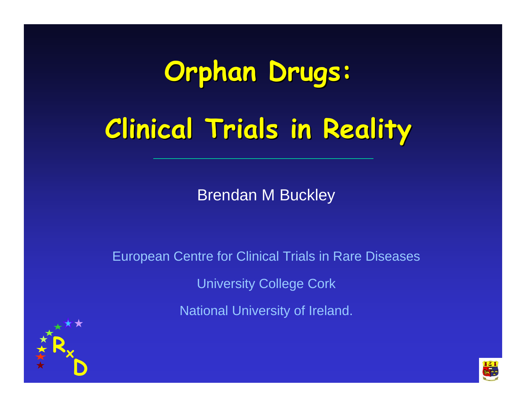# **Orphan Drugs: Clinical Trials in Reality Clinical Trials in Reality**

Brendan M Buckley

European Centre for Clinical Trials in Rare Diseases University College Cork **National University of Ireland.** 



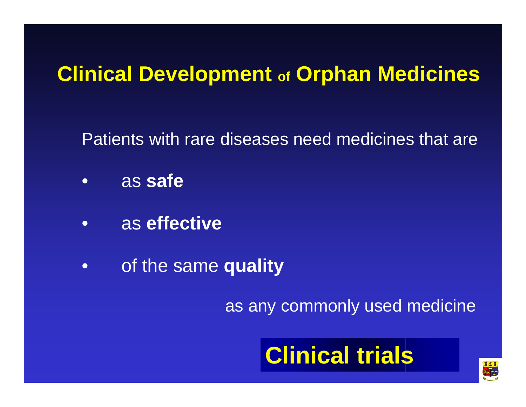#### **Clinical Development of Orphan Medicines**

Patients with rare diseases need medicines that are

- •as **safe**
- •as **effective**
- •of the same **quality**

as any commonly used medicine

### **Clinical trials**

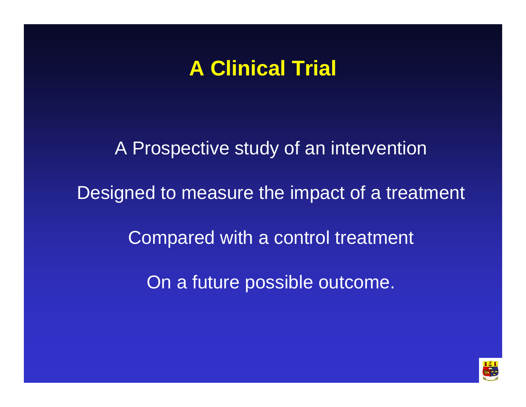#### **A Clinical Trial**

A Prospective study of an intervention

Designed to measure the impact of a treatment

Compared with a control treatment

On a future possible outcome.

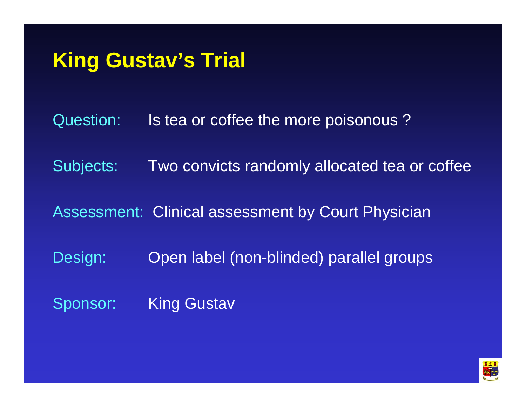#### **King Gustav's Trial**

Question: Is tea or coffee the more poisonous ?

Subjects: Two convicts randomly allocated tea or coffee

Assessment: Clinical assessment by Court Physician

Design: Open label (non-blinded) parallel groups

Sponsor: King Gustav

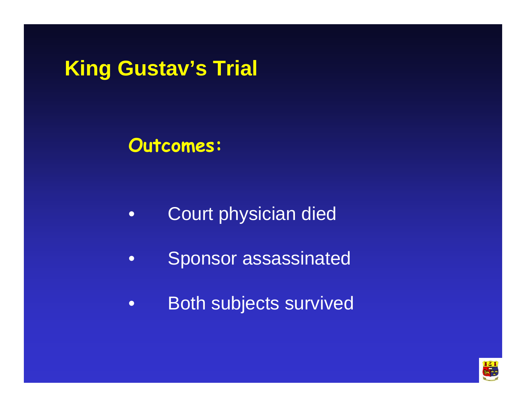**King Gustav's Trial**

**Outcomes:**

- •Court physician died
- •Sponsor assassinated
- •Both subjects survived

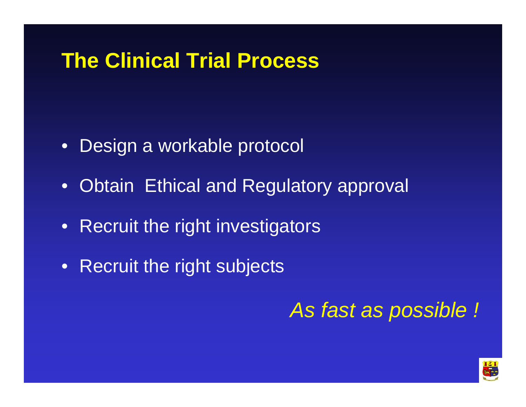#### **The Clinical Trial Process**

- •Design a workable protocol
- $\bullet$ Obtain Ethical and Regulatory approval
- $\bullet$ Recruit the right investigators
- $\bullet$ Recruit the right subjects

*As fast as possible !*

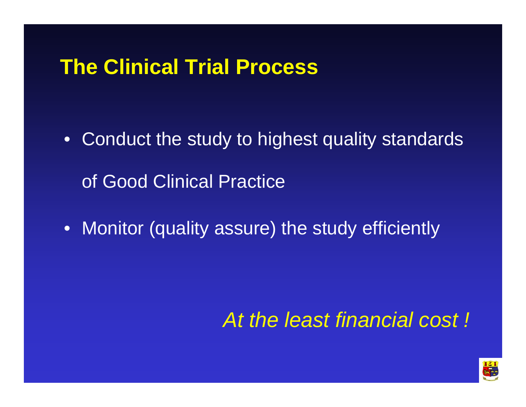#### **The Clinical Trial Process**

- Conduct the study to highest quality standards of Good Clinical Practice
- Monitor (quality assure) the study efficiently

#### *At the least financial cost !*

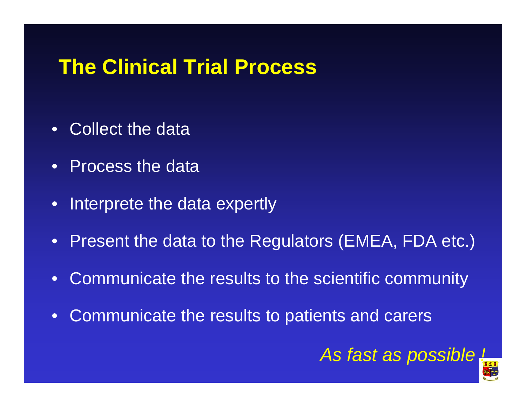#### **The Clinical Trial Process**

- •Collect the data
- Process the data
- $\bullet$ Interprete the data expertly
- Present the data to the Regulators (EMEA, FDA etc.)
- $\bullet$ Communicate the results to the scientific community
- $\bullet$ Communicate the results to patients and carers

#### *As fast as possible !*

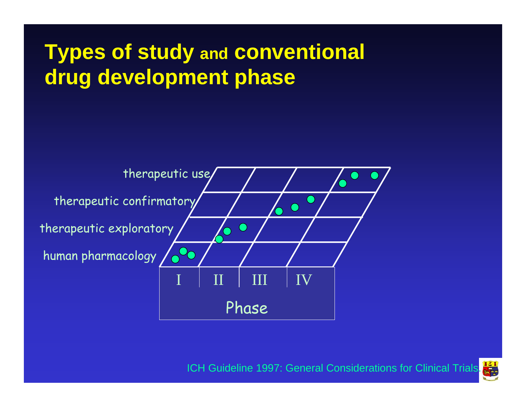#### **Types of study and conventional drug development phase**



エミー ICH Guideline 1997: General Considerations for Clinical Trials.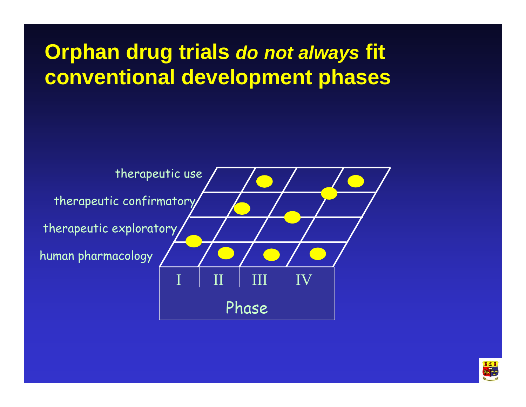**Orphan drug trials** *do not always* **fit conventional development phases**



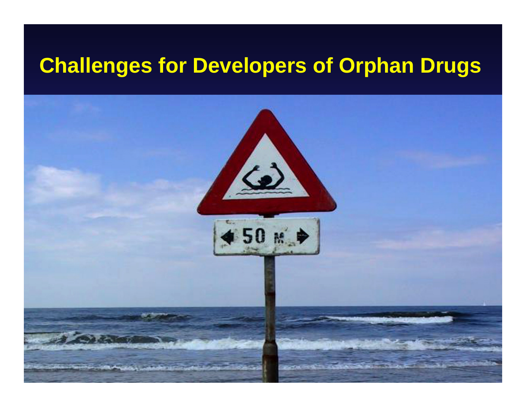#### **Challenges for Developers of Orphan Drugs**

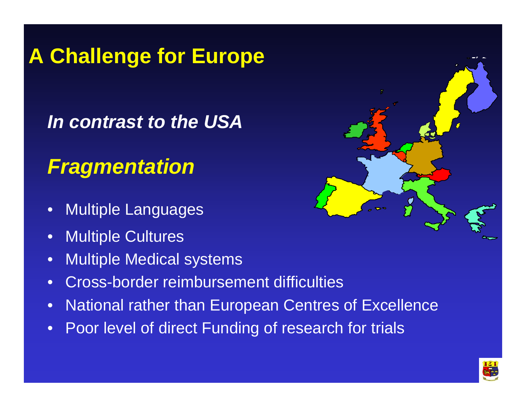### **A Challenge for Europe**

#### *In contrast to the USA*

#### *Fragmentation*

- •Multiple Languages
- •Multiple Cultures
- •Multiple Medical systems
- •Cross-border reimbursement difficulties
- •National rather than European Centres of Excellence
- •Poor level of direct Funding of research for trials



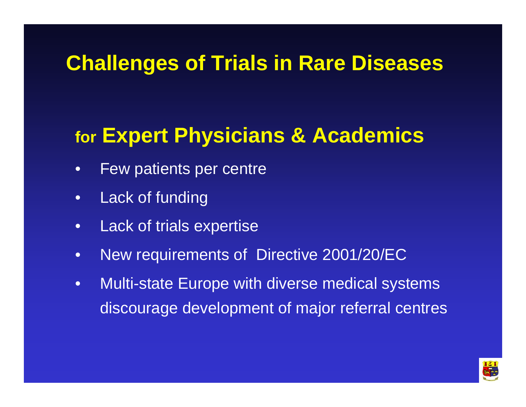#### **for Expert Physicians & Academics**

- •Few patients per centre
- •Lack of funding
- $\bullet$ Lack of trials expertise
- •New requirements of Directive 2001/20/EC
- $\bullet$ Multi-state Europe with diverse medical systems discourage development of major referral centres

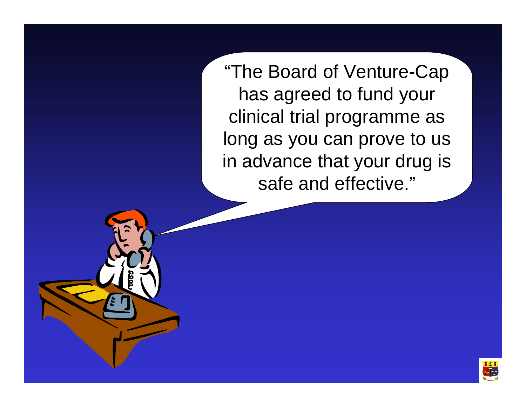"The Board of Venture-Cap has agreed to fund your clinical trial programme as long as you can prove to us in advance that your drug is safe and effective."

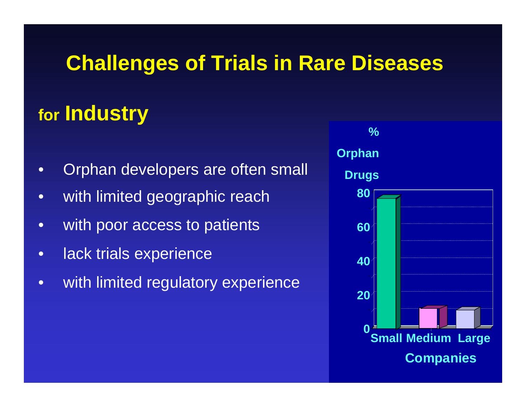#### **for Industry**

- •Orphan developers are often small
- •with limited geographic reach
- •with poor access to patients
- •lack trials experience
- $\bullet$ with limited regulatory experience

**% Orphan Drugs 020 40 60 80Small Medium Large Companies**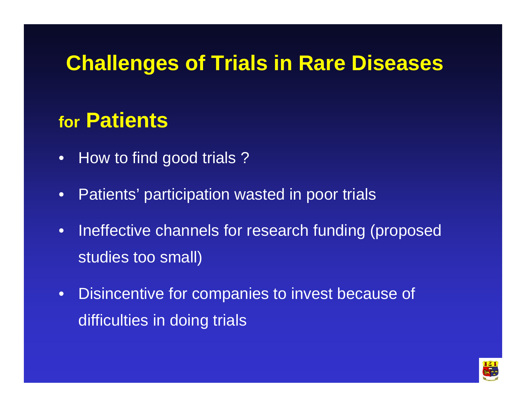#### **for Patients**

- •How to find good trials ?
- •Patients' participation wasted in poor trials
- • Ineffective channels for research funding (proposed studies too small)
- • Disincentive for companies to invest because of difficulties in doing trials

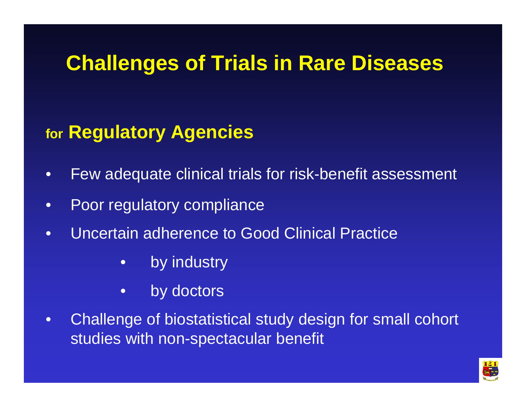#### **for Regulatory Agencies**

- •Few adequate clinical trials for risk-benefit assessment
- •Poor regulatory compliance
- •Uncertain adherence to Good Clinical Practice
	- •by industry
	- •by doctors
- •Challenge of biostatistical study design for small cohort studies with non-spectacular benefit

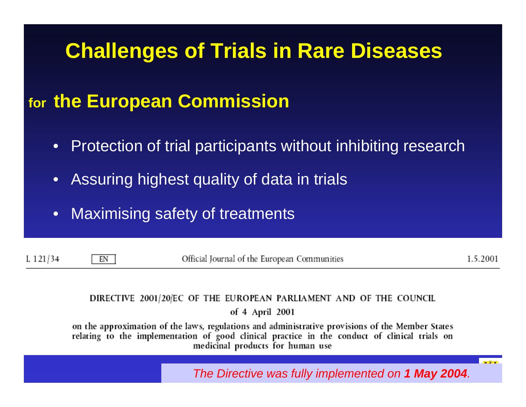#### **for the European Commission**

- $\bullet$ Protection of trial participants without inhibiting research
- $\bullet$ Assuring highest quality of data in trials
- $\bullet$ Maximising safety of treatments

 $L$  121/34

EN

Official Journal of the European Communities

1.5.2001

#### DIRECTIVE 2001/20/EC OF THE EUROPEAN PARLIAMENT AND OF THE COUNCIL of 4 April 2001

on the approximation of the laws, regulations and administrative provisions of the Member States relating to the implementation of good clinical practice in the conduct of clinical trials on medicinal products for human use

*The Directive was fully implemented on 1 May 2004.*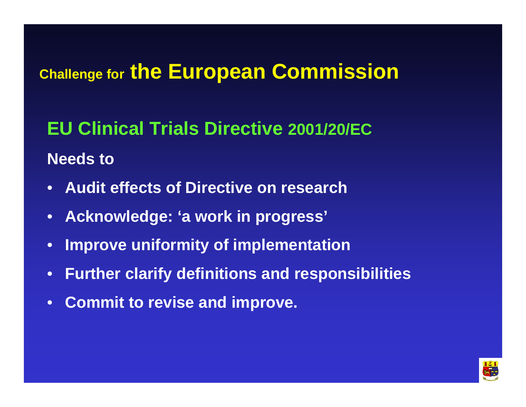#### **Challenge for the European Commission**

**EU Clinical Trials Directive 2001/20/ECNeeds to**

- •**Audit effects of Directive on research**
- •**Acknowledge: 'a work in progress'**
- •**Improve uniformity of implementation**
- •**Further clarify definitions and responsibilities**
- •**Commit to revise and improve.**

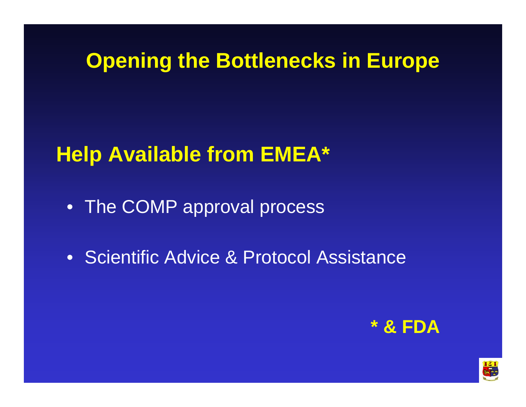#### **Opening the Bottlenecks in Europe**

#### **Help Available from EMEA\***

- The COMP approval process
- •Scientific Advice & Protocol Assistance



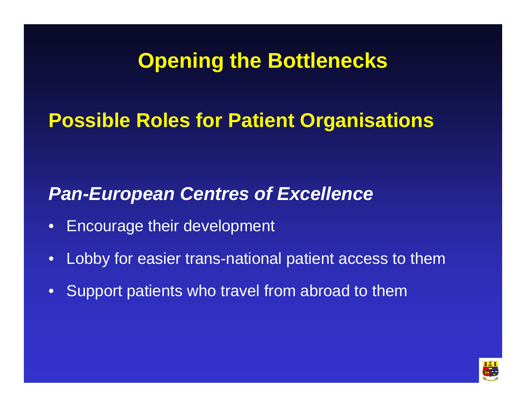#### **Opening the Bottlenecks**

#### **Possible Roles for Patient Organisations**

#### *Pan-European Centres of Excellence*

- •Encourage their development
- $\bullet$ Lobby for easier trans-national patient access to them
- $\bullet$ Support patients who travel from abroad to them

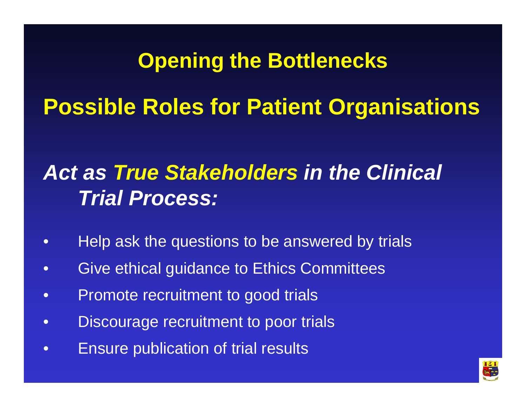## **Opening the Bottlenecks Possible Roles for Patient Organisations**

#### *Act as True Stakeholders in the Clinical Trial Process:*

- •Help ask the questions to be answered by trials
- •Give ethical guidance to Ethics Committees
- •Promote recruitment to good trials
- $\bullet$ Discourage recruitment to poor trials
- $\bullet$ Ensure publication of trial results

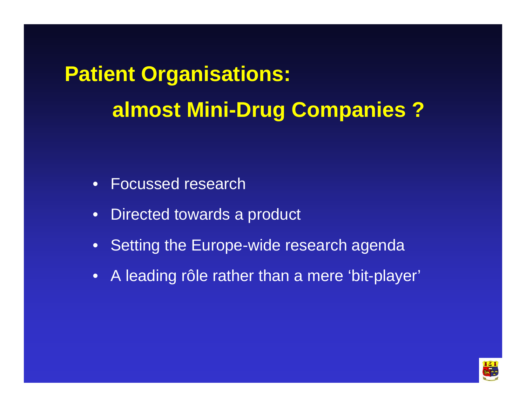**Patient Organisations: almost Mini-Drug Companies ?**

- •Focussed research
- •Directed towards a product
- $\bullet$ Setting the Europe-wide research agenda
- A leading rôle rather than a mere 'bit-player'

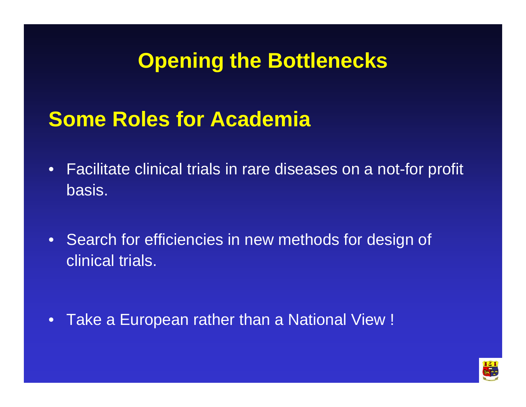#### **Opening the Bottlenecks**

#### **Some Roles for Academia**

- •Facilitate clinical trials in rare diseases on a not-for profit basis.
- $\bullet$ Search for efficiencies in new methods for design of clinical trials.

 $\bullet$ Take a European rather than a National View !

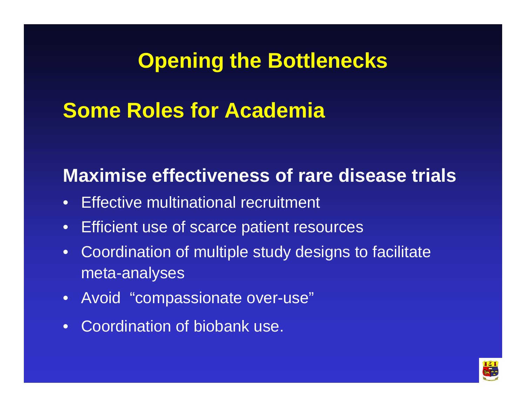#### **Opening the Bottlenecks**

#### **Some Roles for Academia**

#### **Maximise effectiveness of rare disease trials**

- •Effective multinational recruitment
- $\bullet$ Efficient use of scarce patient resources
- $\bullet$ Coordination of multiple study designs to facilitate meta-analyses
- Avoid "compassionate over-use"
- $\bullet$ Coordination of biobank use.

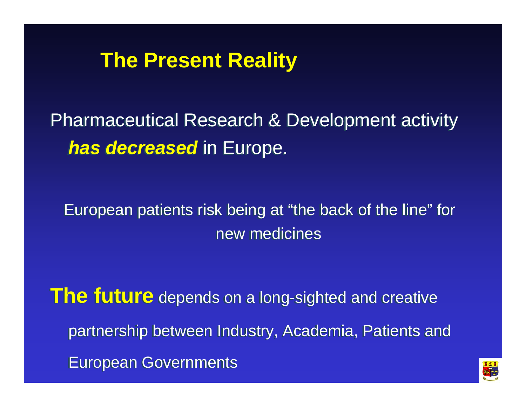#### **The Present Reality**

Pharmaceutical Research & Development activity Pharmaceutical Research & Development activity *has decreased* in Europe. *has decreased* in Europe.

European patients risk being at "the back of the line" for European patients risk being at "the back of the line" for new medicines

**The future** depends on a long-sighted and creative **The future** depends on a long-sighted and creative partnership between Industry, Academia, Patients and partnership between Industry, Academia, Patients and European Governments European Governments